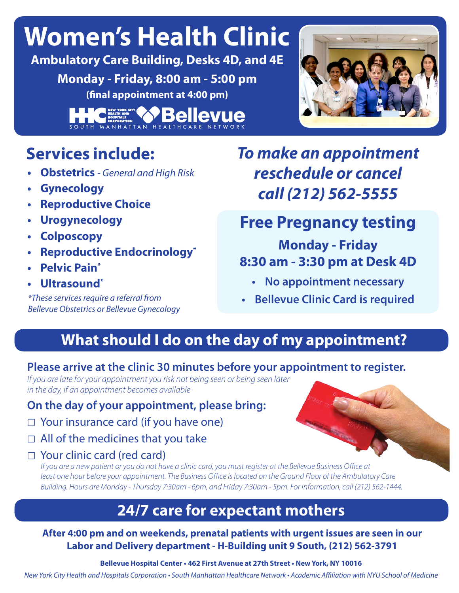# **Women's Health Clinic**

**Ambulatory Care Building, Desks 4D, and 4E Monday - Friday, 8:00 am - 5:00 pm (final appointment at 4:00 pm)**

> **Bellevue** MANHATTAN HEALTHO

# **Services include:**

- **• Obstetrics**  *General and High Risk*
- **• Gynecology**
- **• Reproductive Choice**
- **• Urogynecology**
- **• Colposcopy**
- **• Reproductive Endocrinology\***
- **• Pelvic Pain\***
- **• Ultrasound\***

*\*These services require a referral from Bellevue Obstetrics or Bellevue Gynecology*

# *To make an appointment reschedule or cancel call (212) 562-5555*

# **Free Pregnancy testing**

#### **Monday - Friday 8:30 am - 3:30 pm at Desk 4D**

- **• No appointment necessary**
- **• Bellevue Clinic Card is required**

## **What should I do on the day of my appointment?**

#### **Please arrive at the clinic 30 minutes before your appointment to register.**

*If you are late for your appointment you risk not being seen or being seen later in the day, if an appointment becomes available*

#### **On the day of your appointment, please bring:**

- ☐ Your insurance card (if you have one)
- $\Box$  All of the medicines that you take
- ☐ Your clinic card (red card)

*If you are a new patient or you do not have a clinic card, you must register at the Bellevue Business Office at least one hour before your appointment. The Business Office is located on the Ground Floor of the Ambulatory Care Building. Hours are Monday - Thursday 7:30am - 6pm, and Friday 7:30am - 5pm. For information, call (212) 562-1444.*

### **24/7 care for expectant mothers**

#### **After 4:00 pm and on weekends, prenatal patients with urgent issues are seen in our Labor and Delivery department - H-Building unit 9 South, (212) 562-3791**

**Bellevue Hospital Center • 462 First Avenue at 27th Street • New York, NY 10016**

New York City Health and Hospitals Corporation • South Manhattan Healthcare Network • Academic Affiliation with NYU School of Medicine